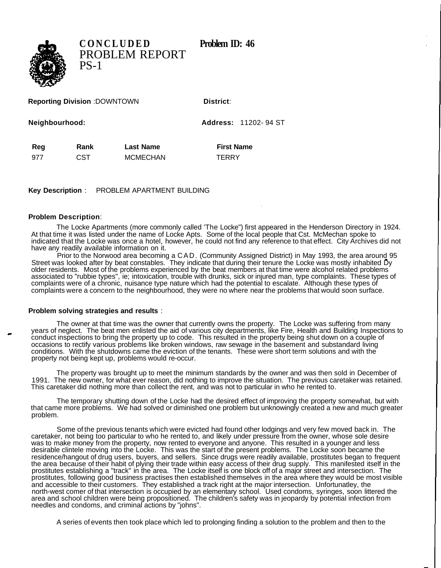

**CONCLUDED** Problem ID: 46 PROBLEM REPORT PS-1

**Reporting Division** :DOWNTOWN **District:** 

**Neighbourhood: Address:** 11202- 94 ST

Reg Rank Last Name **First Name** 

977 CST MCMECHAN TERRY

**Key Description** : PROBLEM APARTMENT BUILDING

## **Problem Description**:

The Locke Apartments (more commonly called 'The Locke") first appeared in the Henderson Directory in 1924. At that time it was listed under the name of Locke Apts. Some of the local people that Cst. McMechan spoke to indicated that the Locke was once a hotel, however, he could not find any reference to that effect. City Archives did not have any readily available information on it.

Prior to the Norwood area becoming a CAD. (Community Assigned District) in May 1993, the area around 95 Street was looked after by beat constables. They indicate that during their tenure the Locke was mostly inhabited Dy older residents. Most of the problems experienced by the beat members at that time were alcohol related problems associated to "rubbie types", ie; intoxication, trouble with drunks, sick or injured man, type complaints. These types of complaints were of a chronic, nuisance type nature which had the potential to escalate. Although these types of complaints were a concern to the neighbourhood, they were no where near the problems that would soon surface.

## **Problem solving strategies and results** :

The owner at that time was the owner that currently owns the property. The Locke was suffering from many years of neglect. The beat men enlisted the aid of various city departments, like Fire, Health and Building Inspections to conduct inspections to bring the property up to code. This resulted in the property being shut down on a couple of occasions to rectify various problems like broken windows, raw sewage in the basement and substandard living conditions. With the shutdowns came the eviction of the tenants. These were short term solutions and with the property not being kept up, problems would re-occur.

The property was brought up to meet the minimum standards by the owner and was then sold in December of 1991. The new owner, for what ever reason, did nothing to improve the situation. The previous caretaker was retained. This caretaker did nothing more than collect the rent, and was not to particular in who he rented to.

The temporary shutting down of the Locke had the desired effect of improving the property somewhat, but with that came more problems. We had solved or diminished one problem but unknowingly created a new and much greater problem.

Some of the previous tenants which were evicted had found other lodgings and very few moved back in. The caretaker, not being too particular to who he rented to, and likely under pressure from the owner, whose sole desire was to make money from the property, now rented to everyone and anyone. This resulted in a younger and less desirable clintele moving into the Locke. This was the start of the present problems. The Locke soon became the residence/hangout of drug users, buyers, and sellers. Since drugs were readily available, prostitutes began to frequent the area because of their habit of plying their trade within easy access of their drug supply. This manifested itself in the prostitutes establishing a "track" in the area. The Locke itself is one block off of a major street and intersection. The prostitutes, following good business practises then established themselves in the area where they would be most visible and accessible to their customers. They established a track right at the major intersection. Unfortunatley, the north-west comer of that intersection is occupied by an elementary school. Used condoms, syringes, soon littered the area and school children were being propositioned. The children's safety was in jeopardy by potential infection from needles and condoms, and criminal actions by "johns".

A series of events then took place which led to prolonging finding a solution to the problem and then to the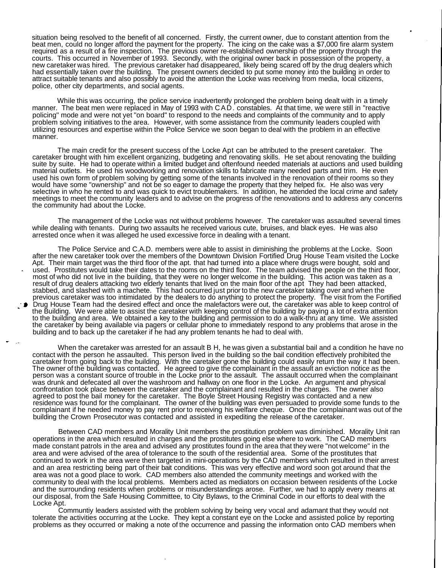situation being resolved to the benefit of all concerned. Firstly, the current owner, due to constant attention from the beat men, could no longer afford the payment for the property. The icing on the cake was a \$7,000 fire alarm system required as a result of a fire inspection. The previous owner re-established ownership of the property through the courts. This occurred in November of 1993. Secondly, with the original owner back in possession of the property, a new caretaker was hired. The previous caretaker had disappeared, likely being scared off by the drug dealers which had essentially taken over the building. The present owners decided to put some money into the building in order to attract suitable tenants and also possibly to avoid the attention the Locke was receiving from media, local citizens, police, other city departments, and social agents.

While this was occurring, the police service inadvertently prolonged the problem being dealt with in a timely manner. The beat men were replaced in May of 1993 with CAD. constables. At that time, we were still in "reactive policing" mode and were not yet "on board" to respond to the needs and complaints of the community and to apply problem solving initiatives to the area. However, with some assistance from the community leaders coupled with utilizing resources and expertise within the Police Service we soon began to deal with the problem in an effective manner.

The main credit for the present success of the Locke Apt can be attributed to the present caretaker. The caretaker brought with him excellent organizing, budgeting and renovating skills. He set about renovating the building suite by suite. He had to operate within a limited budget and oftenfound needed materials at auctions and used building material outlets. He used his woodworking and renovation skills to fabricate many needed parts and trim. He even used his own form of problem solving by getting some of the tenants involved in the renovation of their rooms so they would have some "ownership" and not be so eager to damage the property that they helped fix. He also was very selective in who he rented to and was quick to evict troublemakers. In addition, he attended the local crime and safety meetings to meet the community leaders and to advise on the progress of the renovations and to address any concerns the community had about the Locke.

The management of the Locke was not without problems however. The caretaker was assaulted several times while dealing with tenants. During two assaults he received various cute, bruises, and black eyes. He was also arrested once when it was alleged he used excessive force in dealing with a tenant.

The Police Service and C.A.D. members were able to assist in diminishing the problems at the Locke. Soon after the new caretaker took over the members of the Downtown Division Fortified Drug House Team visited the Locke Apt. Their main target was the third floor of the apt. that had turned into a place where drugs were bought, sold and used. Prostitutes would take their dates to the rooms on the third floor. The team advised the people on the third floor, most of who did not live in the building, that they were no longer welcome in the building. This action was taken as a result of drug dealers attacking two elderly tenants that lived on the main floor of the apt They had been attacked, stabbed, and slashed with a machete. This had occurred just prior to the new caretaker taking over and when the previous caretaker was too intimidated by the dealers to do anything to protect the property. The visit from the Fortified Drug House Team had the desired effect and once the malefactors were out, the caretaker was able to keep control of the Building. We were able to assist the caretaker with keeping control of the building by paying a lot of extra attention to the building and area. We obtained a key to the building and permission to do a walk-thru at any time. We assisted the caretaker by being available via pagers or cellular phone to immediately respond to any problems that arose in the building and to back up the caretaker if he had any problem tenants he had to deal with.

When the caretaker was arrested for an assault B H, he was given a substantial bail and a condition he have no contact with the person he assaulted. This person lived in the building so the bail condition effectively prohibited the caretaker from going back to the building. With the caretaker gone the building could easily return the way it had been. The owner of the building was contacted. He agreed to give the complainant in the assault an eviction notice as the person was a constant source of trouble in the Locke prior to the assault. The assault occurred when the complainant was drunk and defecated all over the washroom and hallway on one floor in the Locke. An argument and physical confrontation took place between the caretaker and the complainant and resulted in the charges. The owner also agreed to post the bail money for the caretaker. The Boyle Street Housing Registry was contacted and a new residence was found for the complainant. The owner of the building was even persuaded to provide some funds to the complainant if he needed money to pay rent prior to receiving his welfare cheque. Once the complainant was out of the building the Crown Prosecutor was contacted and assisted in expediting the release of the caretaker.

Between CAD members and Morality Unit members the prostitution problem was diminished. Morality Unit ran operations in the area which resulted in charges and the prostitutes going else where to work. The CAD members made constant patrols in the area and advised any prostitutes found in the area that they were "not welcome" in the area and were advised of the area of tolerance to the south of the residential area. Some of the prostitutes that continued to work in the area were then targeted in mini-operations by the CAD members which resulted in their arrest and an area restricting being part of their bait conditions. This was very effective and word soon got around that the area was not a good place to work. CAD members also attended the community meetings and worked with the community to deal with the local problems. Members acted as mediators on occasion between residents of the Locke and the surrounding residents when problems or misunderstandings arose. Further, we had to apply every means at our disposal, from the Safe Housing Committee, to City Bylaws, to the Criminal Code in our efforts to deal with the Locke Apt.

Communtiy leaders assisted with the problem solving by being very vocal and adamant that they would not tolerate the activities occurring at the Locke. They kept a constant eye on the Locke and assisted police by reporting problems as they occurred or making a note of the occurrence and passing the information onto CAD members when